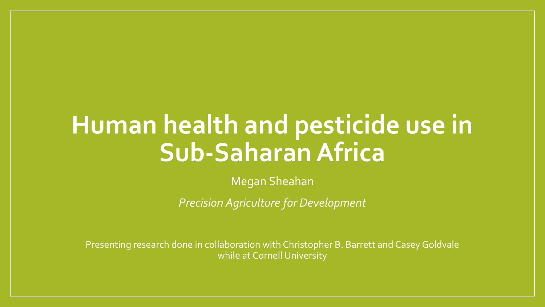# **Human health and pesticide use in Sub-Saharan Africa**

Megan Sheahan

*Precision Agriculture for Development*

Presenting research done in collaboration with Christopher B. Barrett and Casey Goldvale while at Cornell University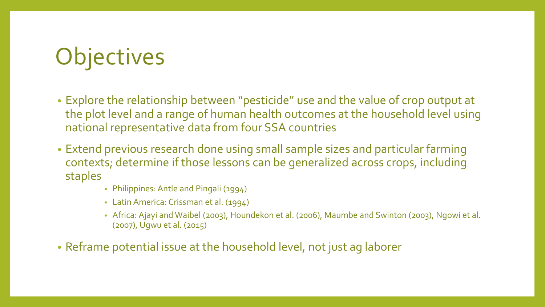# **Objectives**

- Explore the relationship between "pesticide" use and the value of crop output at the plot level and a range of human health outcomes at the household level using national representative data from four SSA countries
- Extend previous research done using small sample sizes and particular farming contexts; determine if those lessons can be generalized across crops, including staples
	- Philippines: Antle and Pingali (1994)
	- Latin America: Crissman et al. (1994)
	- Africa: Ajayi and Waibel (2003), Houndekon et al. (2006), Maumbe and Swinton (2003), Ngowi et al. (2007), Ugwu et al. (2015)
- Reframe potential issue at the household level, not just ag laborer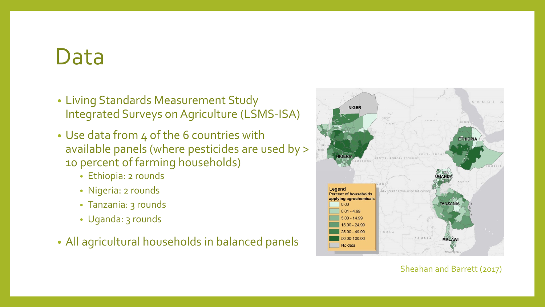### Data

- Living Standards Measurement Study Integrated Surveys on Agriculture (LSMS-ISA)
- Use data from 4 of the 6 countries with available panels (where pesticides are used by > 10 percent of farming households)
	- Ethiopia: 2 rounds
	- Nigeria: 2 rounds
	- Tanzania: 3 rounds
	- Uganda: 3 rounds
- All agricultural households in balanced panels



#### Sheahan and Barrett (2017)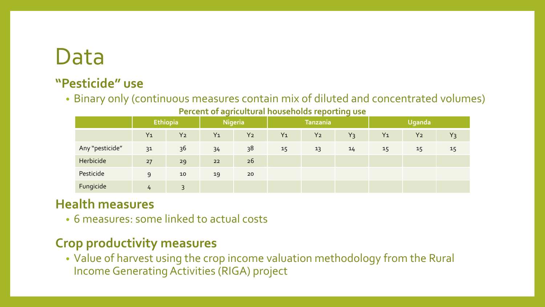### Data

#### **"Pesticide" use**

• Binary only (continuous measures contain mix of diluted and concentrated volumes)

**Percent of agricultural households reporting use**

|                 | <b>Ethiopia</b> |                | <b>Nigeria</b> |                | <b>Tanzania</b> |                |       | <b>Uganda</b> |                |       |
|-----------------|-----------------|----------------|----------------|----------------|-----------------|----------------|-------|---------------|----------------|-------|
|                 | $Y_1$           | Y <sub>2</sub> | $Y_1$          | Y <sub>2</sub> | $Y_1$           | Y <sub>2</sub> | $Y_3$ | $Y_1$         | Y <sub>2</sub> | $Y_3$ |
| Any "pesticide" | 31              | 36             | 34             | 38             | 15              | 13             | 14    | 15            | 15             | 15    |
| Herbicide       | 27              | 29             | 22             | 26             |                 |                |       |               |                |       |
| Pesticide       | 9               | 10             | 19             | 20             |                 |                |       |               |                |       |
| Fungicide       | 4               | 3              |                |                |                 |                |       |               |                |       |

### **Health measures**

• 6 measures: some linked to actual costs

### **Crop productivity measures**

• Value of harvest using the crop income valuation methodology from the Rural Income Generating Activities (RIGA) project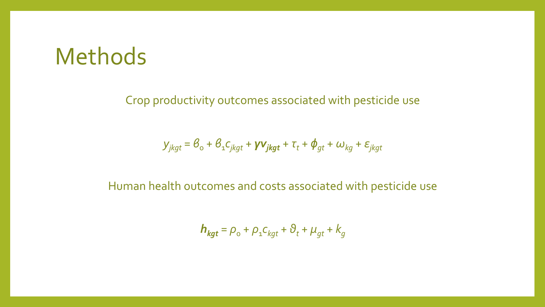## Methods

Crop productivity outcomes associated with pesticide use

$$
\mathbf{y}_{jkgt} = \mathbf{\theta}_{o} + \mathbf{\theta}_{1} \mathbf{C}_{jkgt} + \mathbf{y} \mathbf{v}_{jkgt} + \mathbf{\tau}_{t} + \mathbf{\phi}_{gt} + \boldsymbol{\omega}_{kg} + \boldsymbol{\varepsilon}_{jkgt}
$$

Human health outcomes and costs associated with pesticide use

$$
\boldsymbol{h}_{\textit{kgt}} = \rho_{\text{o}} + \rho_{\text{1}} c_{\textit{kgt}} + \vartheta_t + \mu_{gt} + k_g
$$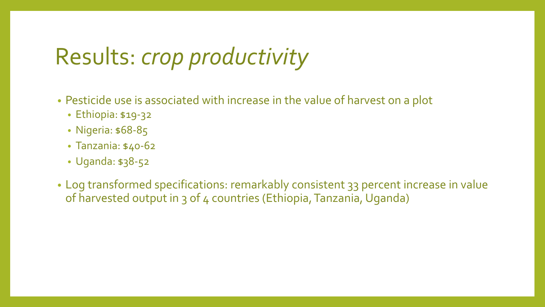# Results: *crop productivity*

- Pesticide use is associated with increase in the value of harvest on a plot
	- Ethiopia: \$19-32
	- Nigeria: \$68-85
	- Tanzania: \$40-62
	- Uganda: \$38-52
- Log transformed specifications: remarkably consistent 33 percent increase in value of harvested output in 3 of 4 countries (Ethiopia, Tanzania, Uganda)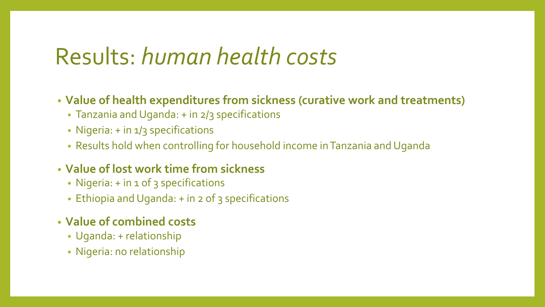# Results: *human health costs*

- **Value of health expenditures from sickness (curative work and treatments)**
	- Tanzania and Uganda: + in 2/3 specifications
	- Nigeria: + in 1/3 specifications
	- Results hold when controlling for household income in Tanzania and Uganda
- **Value of lost work time from sickness**
	- Nigeria: + in 1 of 3 specifications
	- Ethiopia and Uganda: + in 2 of 3 specifications
- **Value of combined costs** 
	- Uganda: + relationship
	- Nigeria: no relationship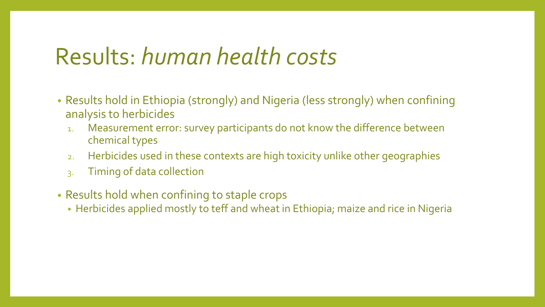# Results: *human health costs*

- Results hold in Ethiopia (strongly) and Nigeria (less strongly) when confining analysis to herbicides
	- 1. Measurement error: survey participants do not know the difference between chemical types
	- 2. Herbicides used in these contexts are high toxicity unlike other geographies
	- 3. Timing of data collection
- Results hold when confining to staple crops
	- Herbicides applied mostly to teff and wheat in Ethiopia; maize and rice in Nigeria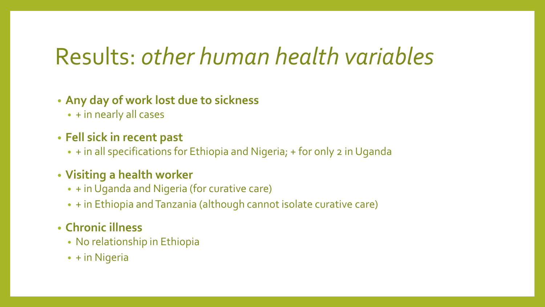# Results: *other human health variables*

- **Any day of work lost due to sickness** 
	- + in nearly all cases
- **Fell sick in recent past**
	- + in all specifications for Ethiopia and Nigeria; + for only 2 in Uganda
- **Visiting a health worker**
	- + in Uganda and Nigeria (for curative care)
	- + in Ethiopia and Tanzania (although cannot isolate curative care)
- **Chronic illness** 
	- No relationship in Ethiopia
	- + in Nigeria